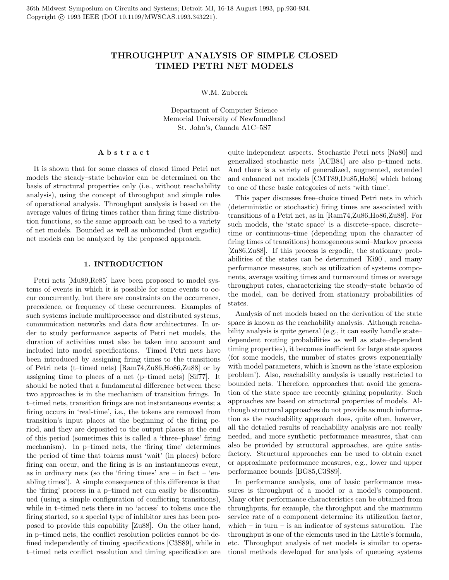# THROUGHPUT ANALYSIS OF SIMPLE CLOSED TIMED PETRI NET MODELS

W.M. Zuberek

Department of Computer Science Memorial University of Newfoundland St. John's, Canada A1C–5S7

### A b s t r a c t

It is shown that for some classes of closed timed Petri net models the steady–state behavior can be determined on the basis of structural properties only (i.e., without reachability analysis), using the concept of throughput and simple rules of operational analysis. Throughput analysis is based on the average values of firing times rather than firing time distribution functions, so the same approach can be used to a variety of net models. Bounded as well as unbounded (but ergodic) net models can be analyzed by the proposed approach.

## 1. INTRODUCTION

Petri nets [Mu89,Re85] have been proposed to model systems of events in which it is possible for some events to occur concurrently, but there are constraints on the occurrence, precedence, or frequency of these occurrences. Examples of such systems include multiprocessor and distributed systems, communication networks and data flow architectures. In order to study performance aspects of Petri net models, the duration of activities must also be taken into account and included into model specifications. Timed Petri nets have been introduced by assigning firing times to the transitions of Petri nets (t–timed nets) [Ram74,Zu86,Ho86,Zu88] or by assigning time to places of a net (p–timed nets) [Sif77]. It should be noted that a fundamental difference between these two approaches is in the mechanism of transition firings. In t–timed nets, transition firings are not instantaneous events; a firing occurs in 'real-time', i.e., the tokens are removed from transition's input places at the beginning of the firing period, and they are deposited to the output places at the end of this period (sometimes this is called a 'three–phase' firing mechanism). In p–timed nets, the 'firing time' determines the period of time that tokens must 'wait' (in places) before firing can occur, and the firing is is an instantaneous event, as in ordinary nets (so the 'firing times' are  $-$  in fact  $-$  'enabling times'). A simple consequence of this difference is that the 'firing' process in a p–timed net can easily be discontinued (using a simple configuration of conflicting transitions), while in t–timed nets there in no 'access' to tokens once the firing started, so a special type of inhibitor arcs has been proposed to provide this capability [Zu88]. On the other hand, in p–timed nets, the conflict resolution policies cannot be defined independently of timing specifications [C3S89], while in t–timed nets conflict resolution and timing specification are quite independent aspects. Stochastic Petri nets [Na80] and generalized stochastic nets [ACB84] are also p–timed nets. And there is a variety of generalized, augmented, extended and enhanced net models [CMT89,Du85,Ho86] which belong to one of these basic categories of nets 'with time'.

This paper discusses free–choice timed Petri nets in which (deterministic or stochastic) firing times are associated with transitions of a Petri net, as in [Ram74,Zu86,Ho86,Zu88]. For such models, the 'state space' is a discrete–space, discrete– time or continuous–time (depending upon the character of firing times of transitions) homogeneous semi–Markov process [Zu86,Zu88]. If this process is ergodic, the stationary probabilities of the states can be determined [Ki90], and many performance measures, such as utilization of systems components, average waiting times and turnaround times or average throughput rates, characterizing the steady–state behavio of the model, can be derived from stationary probabilities of states.

Analysis of net models based on the derivation of the state space is known as the reachability analysis. Although reachability analysis is quite general (e.g., it can easily handle state– dependent routing probabilities as well as state–dependent timing properties), it becomes inefficient for large state spaces (for some models, the number of states grows exponentially with model parameters, which is known as the 'state explosion problem'). Also, reachability analysis is usually restricted to bounded nets. Therefore, approaches that avoid the generation of the state space are recently gaining popularity. Such approaches are based on structural properties of models. Although structural approaches do not provide as much information as the reachability approach does, quite often, however, all the detailed results of reachability analysis are not really needed, and more synthetic performance measures, that can also be provided by structural approaches, are quite satisfactory. Structural approaches can be used to obtain exact or approximate performance measures, e.g., lower and upper performance bounds [BG85,C3S89].

In performance analysis, one of basic performance measures is throughput of a model or a model's component. Many other performance characteristics can be obtained from throughputs, for example, the throughput and the maximum service rate of a component determine its utilization factor, which – in turn – is an indicator of systems saturation. The throughput is one of the elements used in the Little's formula, etc. Throughput analysis of net models is similar to operational methods developed for analysis of queueing systems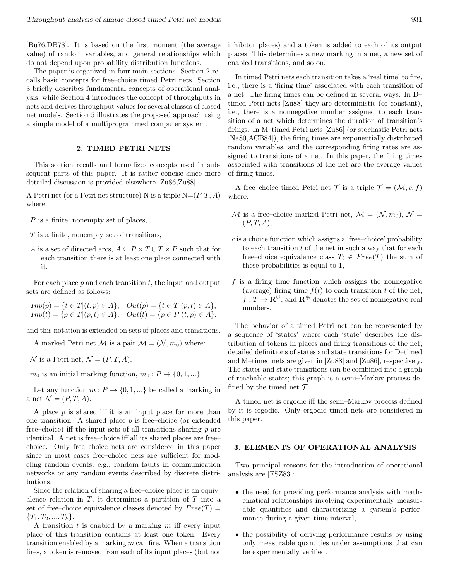[Bu76,DB78]. It is based on the first moment (the average value) of random variables, and general relationships which do not depend upon probability distribution functions.

The paper is organized in four main sections. Section 2 recalls basic concepts for free–choice timed Petri nets. Section 3 briefly describes fundamental concepts of operational analysis, while Section 4 introduces the concept of throughputs in nets and derives throughput values for several classes of closed net models. Section 5 illustrates the proposed approach using a simple model of a multiprogrammed computer system.

#### 2. TIMED PETRI NETS

This section recalls and formalizes concepts used in subsequent parts of this paper. It is rather concise since more detailed discussion is provided elsewhere [Zu86,Zu88].

A Petri net (or a Petri net structure) N is a triple  $N=(P, T, A)$ where:

- P is a finite, nonempty set of places,
- T is a finite, nonempty set of transitions,
- A is a set of directed arcs,  $A \subseteq P \times T \cup T \times P$  such that for each transition there is at least one place connected with it.

For each place  $p$  and each transition  $t$ , the input and output sets are defined as follows:

$$
Imp(p) = \{t \in T | (t, p) \in A\},
$$
  $Out(p) = \{t \in T | (p, t) \in A\},$   
\n $Imp(t) = \{p \in T | (p, t) \in A\},$   $Out(t) = \{p \in P | (t, p) \in A\}.$ 

and this notation is extended on sets of places and transitions.

A marked Petri net M is a pair  $\mathcal{M} = (\mathcal{N}, m_0)$  where:

 $\mathcal N$  is a Petri net,  $\mathcal N = (P, T, A),$ 

 $m_0$  is an initial marking function,  $m_0: P \to \{0, 1, ...\}$ .

Let any function  $m : P \to \{0, 1, ...\}$  be called a marking in a net  $\mathcal{N} = (P, T, A)$ .

A place  $p$  is shared iff it is an input place for more than one transition. A shared place  $p$  is free–choice (or extended free–choice) iff the input sets of all transitions sharing  $p$  are identical. A net is free–choice iff all its shared places are free– choice. Only free–choice nets are considered in this paper since in most cases free–choice nets are sufficient for modeling random events, e.g., random faults in communication networks or any random events described by discrete distributions.

Since the relation of sharing a free–choice place is an equivalence relation in  $T$ , it determines a partition of  $T$  into a set of free–choice equivalence classes denoted by  $Free(T)$  ${T_1, T_2, ..., T_k}.$ 

A transition t is enabled by a marking  $m$  iff every input place of this transition contains at least one token. Every transition enabled by a marking  $m$  can fire. When a transition fires, a token is removed from each of its input places (but not inhibitor places) and a token is added to each of its output places. This determines a new marking in a net, a new set of enabled transitions, and so on.

In timed Petri nets each transition takes a 'real time' to fire, i.e., there is a 'firing time' associated with each transition of a net. The firing times can be defined in several ways. In D– timed Petri nets [Zu88] they are deterministic (or constant), i.e., there is a nonnegative number assigned to each transition of a net which determines the duration of transition's firings. In M–timed Petri nets [Zu86] (or stochastic Petri nets [Na80,ACB84]), the firing times are exponentially distributed random variables, and the corresponding firing rates are assigned to transitions of a net. In this paper, the firing times associated with transitions of the net are the average values of firing times.

A free–choice timed Petri net T is a triple  $\mathcal{T} = (\mathcal{M}, c, f)$ where:

- M is a free–choice marked Petri net,  $\mathcal{M} = (\mathcal{N}, m_0), \mathcal{N} =$  $(P, T, A),$
- c is a choice function which assigns a 'free–choice' probability to each transition  $t$  of the net in such a way that for each free–choice equivalence class  $T_i \in Free(T)$  the sum of these probabilities is equal to 1,
- $f$  is a firing time function which assigns the nonnegative (average) firing time  $f(t)$  to each transition t of the net,  $f: T \to \mathbf{R}^{\oplus}$ , and  $\mathbf{R}^{\oplus}$  denotes the set of nonnegative real numbers.

The behavior of a timed Petri net can be represented by a sequence of 'states' where each 'state' describes the distribution of tokens in places and firing transitions of the net; detailed definitions of states and state transitions for D–timed and M–timed nets are given in [Zu88] and [Zu86], respectively. The states and state transitions can be combined into a graph of reachable states; this graph is a semi–Markov process defined by the timed net  $\mathcal{T}$ .

A timed net is ergodic iff the semi–Markov process defined by it is ergodic. Only ergodic timed nets are considered in this paper.

## 3. ELEMENTS OF OPERATIONAL ANALYSIS

Two principal reasons for the introduction of operational analysis are [FSZ83]:

- the need for providing performance analysis with mathematical relationships involving experimentally measurable quantities and characterizing a system's performance during a given time interval,
- the possibility of deriving performance results by using only measurable quantities under assumptions that can be experimentally verified.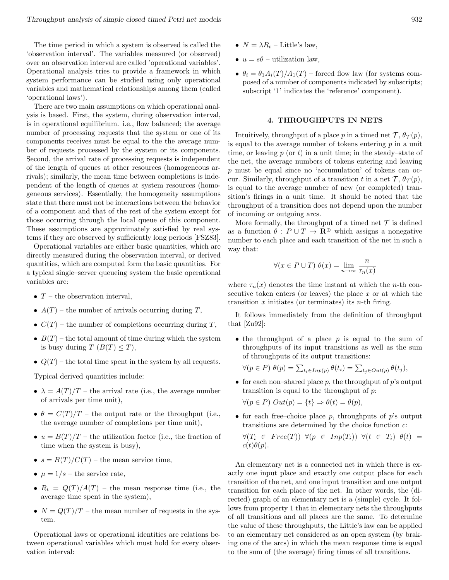The time period in which a system is observed is called the 'observation interval'. The variables measured (or observed) over an observation interval are called 'operational variables'. Operational analysis tries to provide a framework in which system performance can be studied using only operational variables and mathematical relationships among them (called 'operational laws').

There are two main assumptions on which operational analysis is based. First, the system, during observation interval, is in operational equilibrium. i.e., flow balanced; the average number of processing requests that the system or one of its components receives must be equal to the the average number of requests processed by the system or its components. Second, the arrival rate of processing requests is independent of the length of queues at other resources (homogeneous arrivals); similarly, the mean time between completions is independent of the length of queues at system resources (homogeneous services). Essentially, the homogeneity assumptions state that there must not be interactions between the behavior of a component and that of the rest of the system except for those occurring through the local queue of this component. These assumptions are approximately satisfied by real systems if they are observed by sufficiently long periods [FSZ83].

Operational variables are either basic quantities, which are directly measured during the observation interval, or derived quantities, which are computed form the basic quantities. For a typical single–server queueing system the basic operational variables are:

- $T$  the observation interval,
- $A(T)$  the number of arrivals occurring during T,
- $C(T)$  the number of completions occurring during T,
- $B(T)$  the total amount of time during which the system is busy during  $T (B(T) \leq T)$ ,
- $Q(T)$  the total time spent in the system by all requests.

Typical derived quantities include:

- $\lambda = A(T)/T$  the arrival rate (i.e., the average number of arrivals per time unit),
- $\theta = C(T)/T$  the output rate or the throughput (i.e., the average number of completions per time unit),
- $u = B(T)/T$  the utilization factor (i.e., the fraction of time when the system is busy),
- $s = B(T)/C(T)$  the mean service time,
- $\mu = 1/s$  the service rate,
- $R_t = Q(T)/A(T)$  the mean response time (i.e., the average time spent in the system),
- $N = Q(T)/T$  the mean number of requests in the system.

Operational laws or operational identities are relations between operational variables which must hold for every observation interval:

- $N = \lambda R_t$  Little's law,
- $u = s\theta$  utilization law,
- $\theta_i = \theta_1 A_i(T)/A_1(T)$  forced flow law (for systems composed of a number of components indicated by subscripts; subscript '1' indicates the 'reference' component).

### 4. THROUGHPUTS IN NETS

Intuitively, throughput of a place p in a timed net  $\mathcal{T}, \theta_{\mathcal{T}}(p)$ , is equal to the average number of tokens entering  $p$  in a unit time, or leaving  $p$  (or  $t$ ) in a unit time; in the steady–state of the net, the average numbers of tokens entering and leaving p must be equal since no 'accumulation' of tokens can occur. Similarly, throughput of a transition t in a net  $\mathcal{T}, \theta_{\mathcal{T}}(p)$ , is equal to the average number of new (or completed) transition's firings in a unit time. It should be noted that the throughput of a transition does not depend upon the number of incoming or outgoing arcs.

More formally, the throughput of a timed net  $\mathcal T$  is defined as a function  $\theta : P \cup T \to \mathbf{R}^{\oplus}$  which assigns a nonegative number to each place and each transition of the net in such a way that:

$$
\forall (x \in P \cup T) \ \theta(x) = \lim_{n \to \infty} \frac{n}{\tau_n(x)}
$$

where  $\tau_n(x)$  denotes the time instant at which the *n*-th consecutive token enters (or leaves) the place  $x$  or at which the transition  $x$  initiates (or terminates) its  $n$ -th firing.

It follows immediately from the definition of throughput that [Zu92]:

• the throughput of a place  $p$  is equal to the sum of throughputs of its input transitions as well as the sum of throughputs of its output transitions:

$$
\forall (p \in P) \ \theta(p) = \sum_{t_i \in Inp(p)} \theta(t_i) = \sum_{t_j \in Out(p)} \theta(t_j),
$$

• for each non–shared place  $p$ , the throughput of  $p$ 's output transition is equal to the throughput of p:

$$
\forall (p \in P) \; Out(p) = \{t\} \Rightarrow \theta(t) = \theta(p),
$$

• for each free–choice place  $p$ , throughputs of  $p$ 's output transitions are determined by the choice function c:

$$
\forall (T_i \in Free(T)) \ \forall (p \in Imp(T_i)) \ \forall (t \in T_i) \ \theta(t) = c(t)\theta(p).
$$

An elementary net is a connected net in which there is exactly one input place and exactly one output place for each transition of the net, and one input transition and one output transition for each place of the net. In other words, the (directed) graph of an elementary net is a (simple) cycle. It follows from property 1 that in elementary nets the throughputs of all transitions and all places are the same. To determine the value of these throughputs, the Little's law can be applied to an elementary net considered as an open system (by braking one of the arcs) in which the mean response time is equal to the sum of (the average) firing times of all transitions.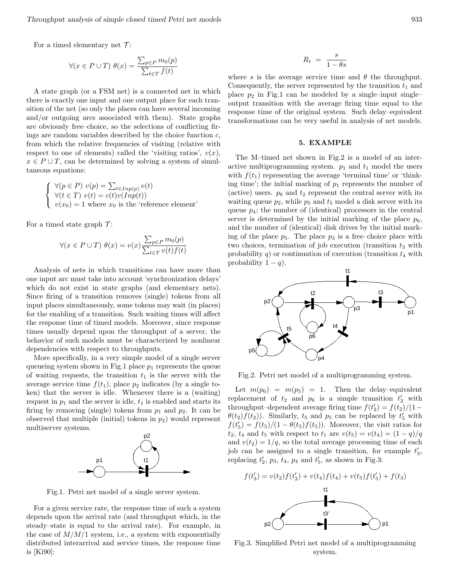For a timed elementary net  $\mathcal{T}$ :

$$
\forall (x \in P \cup T) \ \theta(x) = \frac{\sum_{p \in P} m_0(p)}{\sum_{t \in T} f(t)}
$$

A state graph (or a FSM net) is a connected net in which there is exactly one input and one output place for each transition of the net (so only the places can have several incoming and/or outgoing arcs associated with them). State graphs are obviously free–choice, so the selections of conflicting firings are random variables described by the choice function  $c$ , from which the relative frequencies of visiting (relative with respect to one of elements) called the 'visiting ratios',  $v(x)$ ,  $x \in P \cup T$ , can be determined by solving a system of simultaneous equations:

$$
\begin{cases} \forall (p \in P) \ v(p) = \sum_{t \in Inp(p)} v(t) \\ \forall (t \in T) \ v(t) = c(t)v(Inp(t)) \\ v(x_0) = 1 \text{ where } x_0 \text{ is the 'reference element'} \end{cases}
$$

For a timed state graph  $\mathcal{T}$ :

$$
\forall (x \in P \cup T) \ \theta(x) = v(x) \frac{\sum_{p \in P} m_0(p)}{\sum_{t \in T} v(t) f(t)}
$$

Analysis of nets in which transitions can have more than one input arc must take into account 'synchronization delays' which do not exist in state graphs (and elementary nets). Since firing of a transition removes (single) tokens from all input places simultaneously, some tokens may wait (in places) for the enabling of a transition. Such waiting times will affect the response time of timed models. Moreover, since response times usually depend upon the throughput of a server, the behavior of such models must be characterized by nonlinear dependencies with respect to throughputs.

More specifically, in a very simple model of a single server queueing system shown in Fig.1 place  $p_1$  represents the queue of waiting requests, the transition  $t_1$  is the server with the average service time  $f(t_1)$ , place  $p_2$  indicates (by a single token) that the server is idle. Whenever there is a (waiting) request in  $p_1$  and the server is idle,  $t_1$  is enabled and starts its firing by removing (single) tokens from  $p_1$  and  $p_2$ . It can be observed that multiple (initial) tokens in  $p_2$ ) would represent multiserver systems.



Fig.1. Petri net model of a single server system.

For a given service rate, the response time of such a system depends upon the arrival rate (and throughput which, in the steady–state is equal to the arrival rate). For example, in the case of  $M/M/1$  system, i.e., a system with exponentially distributed interarrival and service times, the response time is [Ki90]:

$$
R_t = \frac{s}{1 - \theta s}
$$

where s is the average service time and  $\theta$  the throughput. Consequently, the server represented by the transition  $t_1$  and place  $p_2$  in Fig.1 can be modeled by a single–input single– output transition with the average firing time equal to the response time of the original system. Such delay–equivalent transformations can be very useful in analysis of net models.

### 5. EXAMPLE

The M–timed net shown in Fig.2 is a model of an interactive multiprogramming system.  $p_1$  and  $t_1$  model the users with  $f(t_1)$  representing the average 'terminal time' or 'thinking time'; the initial marking of  $p_1$  represents the number of (active) users.  $p_6$  and  $t_2$  represent the central server with its waiting queue  $p_2$ , while  $p_5$  and  $t_5$  model a disk server with its queue  $p_4$ ; the number of (identical) processors in the central server is determined by the initial marking of the place  $p_6$ , and the number of (identical) disk drives by the initial marking of the place  $p_5$ . The place  $p_3$  is a free–choice place with two choices, termination of job execution (transition  $t_3$  with probability q) or continuation of execution (transition  $t_4$  with probability  $1 - q$ ).



Fig.2. Petri net model of a multiprogramming system.

Let  $m(p_6) = m(p_5) = 1$ . Then the delay-equivalent replacement of  $t_2$  and  $p_6$  is a simple transition  $t_2'$  with throughput–dependent average firing time  $f(t'_2) = f(t_2)/(1 \theta(t_2) f(t_2)$ ). Similarly,  $t_5$  and  $p_5$  can be replaced by  $t_5$  with  $f(t'_5) = f(t_5)/(1 - \theta(t_5)f(t_5))$ . Moreover, the visit ratios for  $t_2, t_4$  and  $t_5$  with respect to  $t_1$  are  $v(t_5) = v(t_4) = (1 - q)/q$ and  $v(t_2) = 1/q$ , so the total average processing time of each job can be assigned to a single transition, for example  $t'_3$ , replacing  $t_2$ ,  $p_3$ ,  $t_4$ ,  $p_4$  and  $t_5$ , as shown in Fig.3:



Fig.3. Simplified Petri net model of a multiprogramming system.